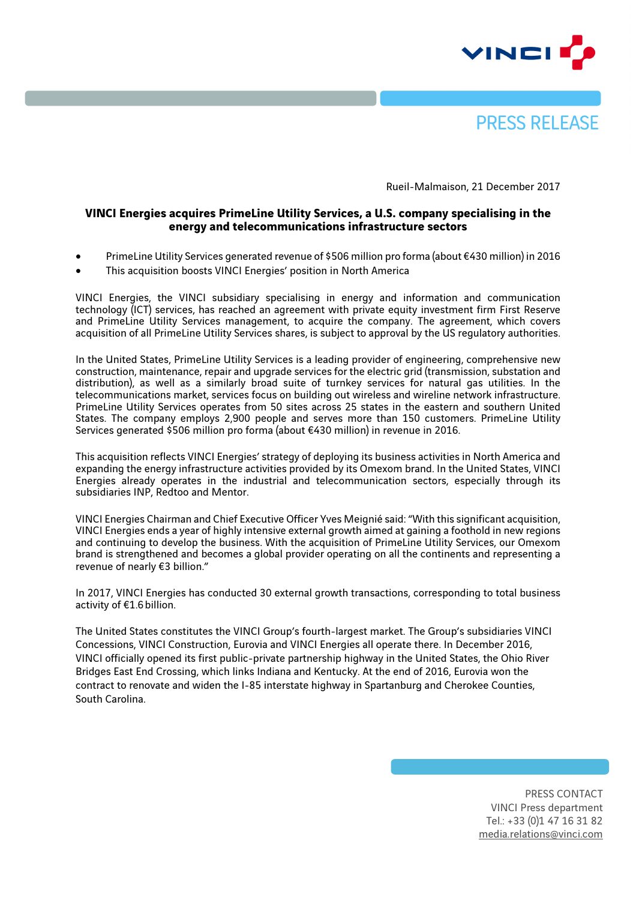



Rueil-Malmaison, 21 December 2017

## **VINCI Energies acquires PrimeLine Utility Services, a U.S. company specialising in the energy and telecommunications infrastructure sectors**

- PrimeLine Utility Services generated revenue of \$506 million pro forma (about €430 million) in 2016
- This acquisition boosts VINCI Energies' position in North America

VINCI Energies, the VINCI subsidiary specialising in energy and information and communication technology (ICT) services, has reached an agreement with private equity investment firm First Reserve and PrimeLine Utility Services management, to acquire the company. The agreement, which covers acquisition of all PrimeLine Utility Services shares, is subject to approval by the US regulatory authorities.

In the United States, PrimeLine Utility Services is a leading provider of engineering, comprehensive new construction, maintenance, repair and upgrade services for the electric grid (transmission, substation and distribution), as well as a similarly broad suite of turnkey services for natural gas utilities. In the telecommunications market, services focus on building out wireless and wireline network infrastructure. PrimeLine Utility Services operates from 50 sites across 25 states in the eastern and southern United States. The company employs 2,900 people and serves more than 150 customers. PrimeLine Utility Services generated \$506 million pro forma (about €430 million) in revenue in 2016.

This acquisition reflects VINCI Energies' strategy of deploying its business activities in North America and expanding the energy infrastructure activities provided by its Omexom brand. In the United States, VINCI Energies already operates in the industrial and telecommunication sectors, especially through its subsidiaries INP, Redtoo and Mentor.

VINCI Energies Chairman and Chief Executive Officer Yves Meignié said: "With this significant acquisition, VINCI Energies ends a year of highly intensive external growth aimed at gaining a foothold in new regions and continuing to develop the business. With the acquisition of PrimeLine Utility Services, our Omexom brand is strengthened and becomes a global provider operating on all the continents and representing a revenue of nearly €3 billion."

In 2017, VINCI Energies has conducted 30 external growth transactions, corresponding to total business activity of €1.6billion.

The United States constitutes the VINCI Group's fourth-largest market. The Group's subsidiaries VINCI Concessions, VINCI Construction, Eurovia and VINCI Energies all operate there. In December 2016, VINCI officially opened its first public-private partnership highway in the United States, the Ohio River Bridges East End Crossing, which links Indiana and Kentucky. At the end of 2016, Eurovia won the contract to renovate and widen the I-85 interstate highway in Spartanburg and Cherokee Counties, South Carolina.

> PRESS CONTACT VINCI Press department Tel.: +33 (0)1 47 16 31 82 media.relations@vinci.com